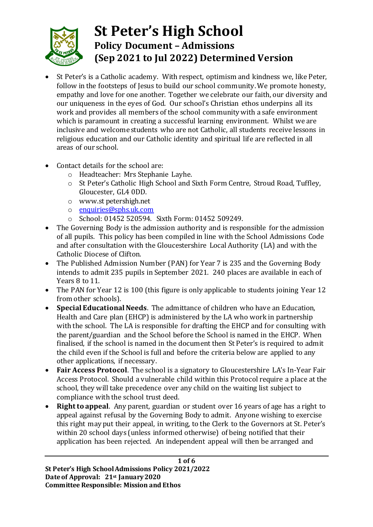

# **St Peter's High School Policy Document – Admissions (Sep 2021 to Jul 2022) Determined Version**

- St Peter's is a Catholic academy. With respect, optimism and kindness we, like Peter, follow in the footsteps of Jesus to build our school community. We promote honesty, empathy and love for one another. Together we celebrate our faith, our diversity and our uniqueness in the eyes of God. Our school's Christian ethos underpins all its work and provides all members of the school community with a safe environment which is paramount in creating a successful learning environment. Whilst we are inclusive and welcome students who are not Catholic, all students receive lessons in religious education and our Catholic identity and spiritual life are reflected in all areas of our school.
- Contact details for the school are:
	- o Headteacher: Mrs Stephanie Layhe.
	- o St Peter's Catholic High School and Sixth Form Centre, Stroud Road, Tuffley, Gloucester, GL4 0DD.
	- o www.st petershigh.net
	- o [enquiries@sphs.uk.com](mailto:enquiries@sphs.uk.com)
	- o School: 01452 520594. Sixth Form: 01452 509249.
- The Governing Body is the admission authority and is responsible for the admission of all pupils.This policy has been compiled in line with the School Admissions Code and after consultation with the Gloucestershire Local Authority (LA) and with the Catholic Diocese of Clifton.
- The Published Admission Number (PAN) for Year 7 is 235 and the Governing Body intends to admit 235 pupils in September 2021. 240 places are available in each of Years 8 to 11.
- The PAN for Year 12 is 100 (this figure is only applicable to students joining Year 12 from other schools).
- **Special Educational Needs**. The admittance of children who have an Education, Health and Care plan (EHCP) is administered by the LA who work in partnership with the school. The LA is responsible for drafting the EHCP and for consulting with the parent/guardian and the School before the School is named in the EHCP. When finalised, if the school is named in the document then St Peter's is required to admit the child even if the School is full and before the criteria below are applied to any other applications, if necessary.
- **Fair Access Protocol**. The school is a signatory to Gloucestershire LA's In-Year Fair Access Protocol. Should a vulnerable child within this Protocol require a place at the school, they will take precedence over any child on the waiting list subject to compliance with the school trust deed.
- **Right to appeal**. Any parent, guardian or student over 16 years of age has a right to appeal against refusal by the Governing Body to admit. Anyone wishing to exercise this right may put their appeal, in writing, to the Clerk to the Governors at St. Peter's within 20 school days (unless informed otherwise) of being notified that their application has been rejected. An independent appeal will then be arranged and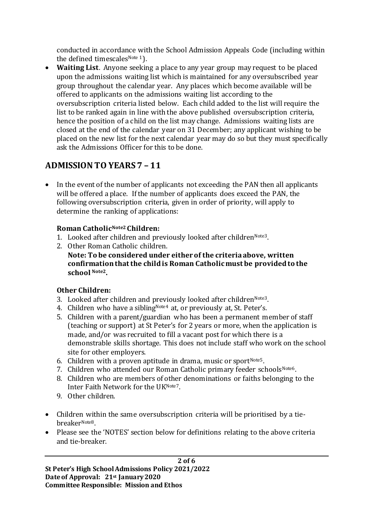conducted in accordance with the School Admission Appeals Code (including within the defined timescales<sup>Note 1</sup>).

• **Waiting List**. Anyone seeking a place to any year group may request to be placed upon the admissions waiting list which is maintained for any oversubscribed year group throughout the calendar year. Any places which become available will be offered to applicants on the admissions waiting list according to the oversubscription criteria listed below. Each child added to the list will require the list to be ranked again in line with the above published oversubscription criteria, hence the position of a child on the list may change. Admissions waiting lists are closed at the end of the calendar year on 31 December; any applicant wishing to be placed on the new list for the next calendar year may do so but they must specifically ask the Admissions Officer for this to be done.

## **ADMISSION TO YEARS 7 – 11**

• In the event of the number of applicants not exceeding the PAN then all applicants will be offered a place. If the number of applicants does exceed the PAN, the following oversubscription criteria, given in order of priority, will apply to determine the ranking of applications:

#### **Roman CatholicNote2 Children:**

- 1. Looked after children and previously looked after children  $Note3$ .
- 2. Other Roman Catholic children.
	- **Note: To be considered under either of the criteria above, written confirmation that the child is Roman Catholic must be provided to the school Note2.**

### **Other Children:**

- 3. Looked after children and previously looked after children  $N^{Ote3}$ .
- 4. Children who have a sibling<sup>Note4</sup> at, or previously at, St. Peter's.
- 5. Children with a parent/guardian who has been a permanent member of staff (teaching or support) at St Peter's for 2 years or more, when the application is made, and/or was recruited to fill a vacant post for which there is a demonstrable skills shortage. This does not include staff who work on the school site for other employers.
- 6. Children with a proven aptitude in drama, music or sport $N^{10}$
- 7. Children who attended our Roman Catholic primary feeder schools<sup>Note6</sup>.
- 8. Children who are members of other denominations or faiths belonging to the Inter Faith Network for the UKNote7.
- 9. Other children.
- Children within the same oversubscription criteria will be prioritised by a tiebreakerNote8.
- Please see the 'NOTES' section below for definitions relating to the above criteria and tie-breaker.

**2 of 6 St Peter's High SchoolAdmissions Policy 2021/2022 Date of Approval: 21st January 2020 Committee Responsible: Mission and Ethos**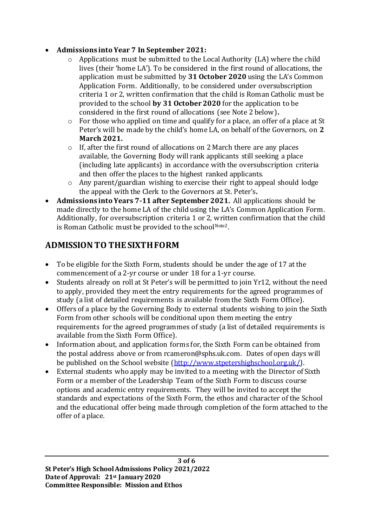#### • **Admissions into Year 7 In September 2021:**

- o Applications must be submitted to the Local Authority (LA) where the child lives (their 'home LA'). To be considered in the first round of allocations, the application must be submitted by **31 October 2020** using the LA's Common Application Form. Additionally, to be considered under oversubscription criteria 1 or 2, written confirmation that the child is Roman Catholic must be provided to the school **by 31 October 2020** for the application to be considered in the first round of allocations (see Note 2 below)**.**
- o For those who applied on time and qualify for a place, an offer of a place at St Peter's will be made by the child's home LA, on behalf of the Governors, on **2 March 2021.**
- o If, after the first round of allocations on 2 March there are any places available, the Governing Body will rank applicants still seeking a place (including late applicants) in accordance with the oversubscription criteria and then offer the places to the highest ranked applicants.
- o Any parent/guardian wishing to exercise their right to appeal should lodge the appeal with the Clerk to the Governors at St. Peter's**.**
- **Admissions into Years 7-11 after September 2021.** All applications should be made directly to the home LA of the child using the LA's Common Application Form. Additionally, for oversubscription criteria 1 or 2, written confirmation that the child is Roman Catholic must be provided to the schoolNote2.

## **ADMISSION TO THE SIXTH FORM**

- To be eligible for the Sixth Form, students should be under the age of 17 at the commencement of a 2-yr course or under 18 for a 1-yr course.
- Students already on roll at St Peter's will be permitted to join Yr12, without the need to apply, provided they meet the entry requirements for the agreed programmes of study (a list of detailed requirements is available from the Sixth Form Office).
- Offers of a place by the Governing Body to external students wishing to join the Sixth Form from other schools will be conditional upon them meeting the entry requirements for the agreed programmes of study (a list of detailed requirements is available from the Sixth Form Office).
- Information about, and application forms for, the Sixth Form can be obtained from the postal address above or from rcameron@sphs.uk.com. Dates of open days will be published on the School website [\(http://www.stpetershighschool.org.uk/\).](http://www.stpetershighschool.org.uk/)
- External students who apply may be invited to a meeting with the Director of Sixth Form or a member of the Leadership Team of the Sixth Form to discuss course options and academic entry requirements. They will be invited to accept the standards and expectations of the Sixth Form, the ethos and character of the School and the educational offer being made through completion of the form attached to the offer of a place.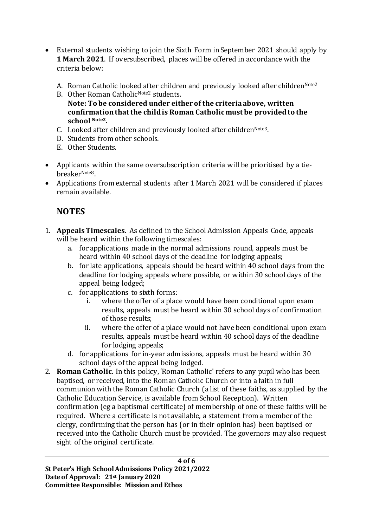- External students wishing to join the Sixth Form in September 2021 should apply by **1 March 2021**. If oversubscribed, places will be offered in accordance with the criteria below:
	- A. Roman Catholic looked after children and previously looked after children<sup>Note2</sup>
	- B. Other Roman Catholic<sup>Note2</sup> students.
		- **Note: To be considered under either of the criteria above, written confirmation that the child is Roman Catholic must be provided to the school Note2.**
	- C. Looked after children and previously looked after children<sup>Note3</sup>.
	- D. Students from other schools.
	- E. Other Students.
- Applicants within the same oversubscription criteria will be prioritised by a tiebreakerNote8.
- Applications from external students after 1 March 2021 will be considered if places remain available.

## **NOTES**

- 1. **Appeals Timescales**. As defined in the School Admission Appeals Code, appeals will be heard within the following timescales:
	- a. for applications made in the normal admissions round, appeals must be heard within 40 school days of the deadline for lodging appeals;
	- b. for late applications, appeals should be heard within 40 school days from the deadline for lodging appeals where possible, or within 30 school days of the appeal being lodged;
	- c. for applications to sixth forms:
		- i. where the offer of a place would have been conditional upon exam results, appeals must be heard within 30 school days of confirmation of those results;
		- ii. where the offer of a place would not have been conditional upon exam results, appeals must be heard within 40 school days of the deadline for lodging appeals;
	- d. for applications for in-year admissions, appeals must be heard within 30 school days of the appeal being lodged.
- 2. **Roman Catholic**. In this policy, 'Roman Catholic' refers to any pupil who has been baptised, or received, into the Roman Catholic Church or into a faith in full communion with the Roman Catholic Church (a list of these faiths, as supplied by the Catholic Education Service, is available from School Reception). Written confirmation (eg a baptismal certificate) of membership of one of these faiths will be required. Where a certificate is not available, a statement from a member of the clergy, confirming that the person has (or in their opinion has) been baptised or received into the Catholic Church must be provided. The governors may also request sight of the original certificate.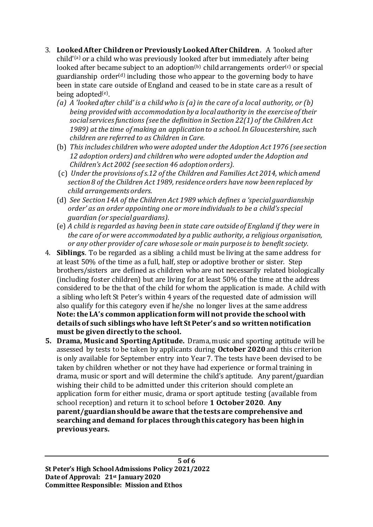- 3. **Looked After Children or Previously Looked After Children**. A *'*looked after child'(a) or a child who was previously looked after but immediately after being looked after became subject to an adoption<sup>(b)</sup> child arrangements order<sup>(c)</sup> or special guardianship order $(d)$  including those who appear to the governing body to have been in state care outside of England and ceased to be in state care as a result of being adopted<sup>(e)</sup>.
	- *(a) A 'looked after child' is a child who is (a) in the care of a local authority, or (b) being provided with accommodation by a local authority in the exercise of their social services functions (see the definition in Section 22(1) of the Children Act 1989) at the time of making an application to a school. In Gloucestershire, such children are referred to as Children in Care.*
	- (b) *This includes children who were adopted under the Adoption Act 1976 (see section 12 adoption orders) and children who were adopted under the Adoption and Children's Act 2002 (see section 46 adoption orders).*
	- (c) *Under the provisions of s.12 of the Children and Families Act 2014, which amend section 8 of the Children Act 1989, residence orders have now been replaced by child arrangements orders.*
	- (d) *See Section 14A of the Children Act 1989 which defines a 'special guardianship order' as an order appointing one or more individuals to be a child's special guardian (or special guardians).*
	- (e) *A child is regarded as having been in state care outside of England if they were in the care of or were accommodated by a public authority, a religious organisation, or any other provider of care whose sole or main purpose is to benefit society.*
- 4. **Siblings**. To be regarded as a sibling a child must be living at the same address for at least 50% of the time as a full, half, step or adoptive brother or sister. Step brothers/sisters are defined as children who are not necessarily related biologically (including foster children) but are living for at least 50% of the time at the address considered to be the that of the child for whom the application is made. A child with a sibling who left St Peter's within 4 years of the requested date of admission will also qualify for this category even if he/she no longer lives at the same address **Note: the LA's common application form will not provide the school with details of such siblings who have left St Peter's and so written notification must be given directly to the school.**
- **5. Drama, Music and Sporting Aptitude.** Drama, music and sporting aptitude will be assessed by tests to be taken by applicants during **October 2020**and this criterion is only available for September entry into Year 7. The tests have been devised to be taken by children whether or not they have had experience or formal training in drama, music or sport and will determine the child's aptitude. Any parent/guardian wishing their child to be admitted under this criterion should complete an application form for either music, drama or sport aptitude testing (available from school reception) and return it to school before **1 October 2020**. **Any parent/guardian should be aware that the tests are comprehensive and searching and demand for places through this category has been high in previous years.**